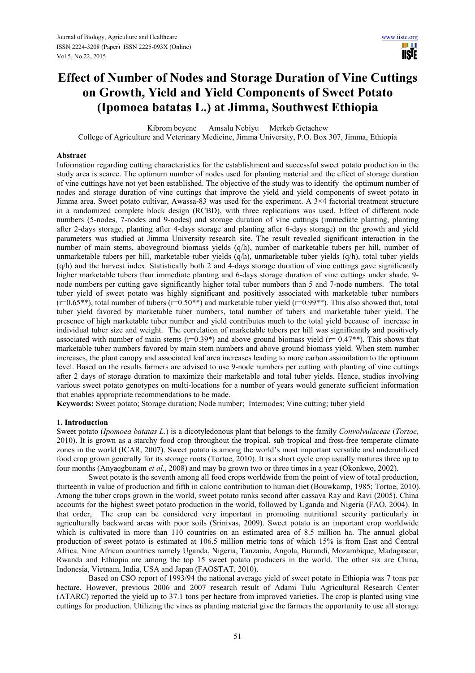H I **USIE** 

# **Effect of Number of Nodes and Storage Duration of Vine Cuttings on Growth, Yield and Yield Components of Sweet Potato (Ipomoea batatas L.) at Jimma, Southwest Ethiopia**

Kibrom beyene Amsalu Nebiyu Merkeb Getachew

College of Agriculture and Veterinary Medicine, Jimma University, P.O. Box 307, Jimma, Ethiopia

# **Abstract**

Information regarding cutting characteristics for the establishment and successful sweet potato production in the study area is scarce. The optimum number of nodes used for planting material and the effect of storage duration of vine cuttings have not yet been established. The objective of the study was to identify the optimum number of nodes and storage duration of vine cuttings that improve the yield and yield components of sweet potato in Jimma area. Sweet potato cultivar, Awassa-83 was used for the experiment. A 3×4 factorial treatment structure in a randomized complete block design (RCBD), with three replications was used. Effect of different node numbers (5-nodes, 7-nodes and 9-nodes) and storage duration of vine cuttings (immediate planting, planting after 2-days storage, planting after 4-days storage and planting after 6-days storage) on the growth and yield parameters was studied at Jimma University research site. The result revealed significant interaction in the number of main stems, aboveground biomass yields (q/h), number of marketable tubers per hill, number of unmarketable tubers per hill, marketable tuber yields (q/h), unmarketable tuber yields (q/h), total tuber yields  $(q/h)$  and the harvest index. Statistically both 2 and 4-days storage duration of vine cuttings gave significantly higher marketable tubers than immediate planting and 6-days storage duration of vine cuttings under shade. 9node numbers per cutting gave significantly higher total tuber numbers than 5 and 7-node numbers. The total tuber yield of sweet potato was highly significant and positively associated with marketable tuber numbers  $(r=0.65^{**})$ , total number of tubers  $(r=0.50^{**})$  and marketable tuber yield  $(r=0.99^{**})$ . This also showed that, total tuber yield favored by marketable tuber numbers, total number of tubers and marketable tuber yield. The presence of high marketable tuber number and yield contributes much to the total yield because of increase in individual tuber size and weight. The correlation of marketable tubers per hill was significantly and positively associated with number of main stems ( $r=0.39*$ ) and above ground biomass yield ( $r=0.47**$ ). This shows that marketable tuber numbers favored by main stem numbers and above ground biomass yield. When stem number increases, the plant canopy and associated leaf area increases leading to more carbon assimilation to the optimum level. Based on the results farmers are advised to use 9-node numbers per cutting with planting of vine cuttings after 2 days of storage duration to maximize their marketable and total tuber yields. Hence, studies involving various sweet potato genotypes on multi-locations for a number of years would generate sufficient information that enables appropriate recommendations to be made.

**Keywords:** Sweet potato; Storage duration; Node number; Internodes; Vine cutting; tuber yield

#### **1. Introduction**

Sweet potato (*Ipomoea batatas L.*) is a dicotyledonous plant that belongs to the family *Convolvulaceae* (*Tortoe,* 2010). It is grown as a starchy food crop throughout the tropical, sub tropical and frost-free temperate climate zones in the world (ICAR, 2007). Sweet potato is among the world's most important versatile and underutilized food crop grown generally for its storage roots (Tortoe, 2010). It is a short cycle crop usually matures three up to four months (Anyaegbunam *et al*., 2008) and may be grown two or three times in a year (Okonkwo, 2002).

Sweet potato is the seventh among all food crops worldwide from the point of view of total production, thirteenth in value of production and fifth in caloric contribution to human diet (Bouwkamp, 1985; Tortoe, 2010). Among the tuber crops grown in the world, sweet potato ranks second after cassava Ray and Ravi (2005). China accounts for the highest sweet potato production in the world, followed by Uganda and Nigeria (FAO, 2004). In that order, The crop can be considered very important in promoting nutritional security particularly in agriculturally backward areas with poor soils (Srinivas, 2009). Sweet potato is an important crop worldwide which is cultivated in more than 110 countries on an estimated area of 8.5 million ha. The annual global production of sweet potato is estimated at 106.5 million metric tons of which 15% is from East and Central Africa. Nine African countries namely Uganda, Nigeria, Tanzania, Angola, Burundi, Mozambique, Madagascar, Rwanda and Ethiopia are among the top 15 sweet potato producers in the world. The other six are China, Indonesia, Vietnam, India, USA and Japan (FAOSTAT, 2010).

Based on CSO report of 1993/94 the national average yield of sweet potato in Ethiopia was 7 tons per hectare. However, previous 2006 and 2007 research result of Adami Tulu Agricultural Research Center (ATARC) reported the yield up to 37.1 tons per hectare from improved varieties. The crop is planted using vine cuttings for production. Utilizing the vines as planting material give the farmers the opportunity to use all storage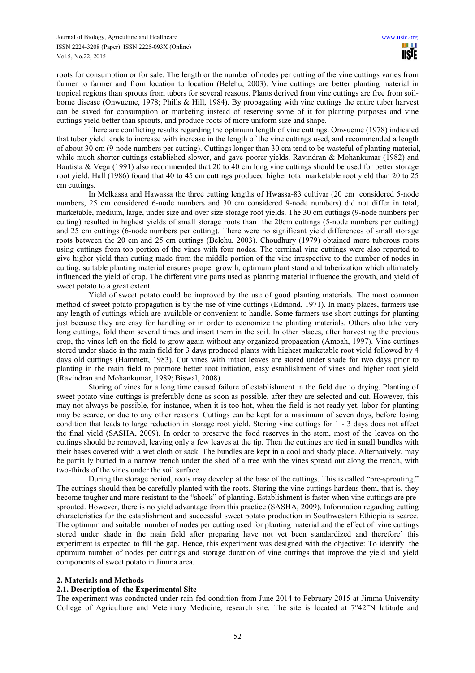roots for consumption or for sale. The length or the number of nodes per cutting of the vine cuttings varies from farmer to farmer and from location to location (Belehu, 2003). Vine cuttings are better planting material in tropical regions than sprouts from tubers for several reasons. Plants derived from vine cuttings are free from soilborne disease (Onwueme, 1978; Phills & Hill, 1984). By propagating with vine cuttings the entire tuber harvest can be saved for consumption or marketing instead of reserving some of it for planting purposes and vine cuttings yield better than sprouts, and produce roots of more uniform size and shape.

There are conflicting results regarding the optimum length of vine cuttings. Onwueme (1978) indicated that tuber yield tends to increase with increase in the length of the vine cuttings used, and recommended a length of about 30 cm (9-node numbers per cutting). Cuttings longer than 30 cm tend to be wasteful of planting material, while much shorter cuttings established slower, and gave poorer yields. Ravindran & Mohankumar (1982) and Bautista & Vega (1991) also recommended that 20 to 40 cm long vine cuttings should be used for better storage root yield. Hall (1986) found that 40 to 45 cm cuttings produced higher total marketable root yield than 20 to 25 cm cuttings.

In Melkassa and Hawassa the three cutting lengths of Hwassa-83 cultivar (20 cm considered 5-node numbers, 25 cm considered 6-node numbers and 30 cm considered 9-node numbers) did not differ in total, marketable, medium, large, under size and over size storage root yields. The 30 cm cuttings (9-node numbers per cutting) resulted in highest yields of small storage roots than the 20cm cuttings (5-node numbers per cutting) and 25 cm cuttings (6-node numbers per cutting). There were no significant yield differences of small storage roots between the 20 cm and 25 cm cuttings (Belehu, 2003). Choudhury (1979) obtained more tuberous roots using cuttings from top portion of the vines with four nodes. The terminal vine cuttings were also reported to give higher yield than cutting made from the middle portion of the vine irrespective to the number of nodes in cutting. suitable planting material ensures proper growth, optimum plant stand and tuberization which ultimately influenced the yield of crop. The different vine parts used as planting material influence the growth, and yield of sweet potato to a great extent.

Yield of sweet potato could be improved by the use of good planting materials. The most common method of sweet potato propagation is by the use of vine cuttings (Edmond, 1971). In many places, farmers use any length of cuttings which are available or convenient to handle. Some farmers use short cuttings for planting just because they are easy for handling or in order to economize the planting materials. Others also take very long cuttings, fold them several times and insert them in the soil. In other places, after harvesting the previous crop, the vines left on the field to grow again without any organized propagation (Amoah, 1997). Vine cuttings stored under shade in the main field for 3 days produced plants with highest marketable root yield followed by 4 days old cuttings (Hammett, 1983). Cut vines with intact leaves are stored under shade for two days prior to planting in the main field to promote better root initiation, easy establishment of vines and higher root yield (Ravindran and Mohankumar, 1989; Biswal, 2008).

Storing of vines for a long time caused failure of establishment in the field due to drying. Planting of sweet potato vine cuttings is preferably done as soon as possible, after they are selected and cut. However, this may not always be possible, for instance, when it is too hot, when the field is not ready yet, labor for planting may be scarce, or due to any other reasons. Cuttings can be kept for a maximum of seven days, before losing condition that leads to large reduction in storage root yield. Storing vine cuttings for 1 - 3 days does not affect the final yield (SASHA, 2009). In order to preserve the food reserves in the stem, most of the leaves on the cuttings should be removed, leaving only a few leaves at the tip. Then the cuttings are tied in small bundles with their bases covered with a wet cloth or sack. The bundles are kept in a cool and shady place. Alternatively, may be partially buried in a narrow trench under the shed of a tree with the vines spread out along the trench, with two-thirds of the vines under the soil surface.

During the storage period, roots may develop at the base of the cuttings. This is called "pre-sprouting." The cuttings should then be carefully planted with the roots. Storing the vine cuttings hardens them, that is, they become tougher and more resistant to the "shock" of planting. Establishment is faster when vine cuttings are presprouted. However, there is no yield advantage from this practice (SASHA, 2009). Information regarding cutting characteristics for the establishment and successful sweet potato production in Southwestern Ethiopia is scarce. The optimum and suitable number of nodes per cutting used for planting material and the effect of vine cuttings stored under shade in the main field after preparing have not yet been standardized and therefore' this experiment is expected to fill the gap. Hence, this experiment was designed with the objective: To identify the optimum number of nodes per cuttings and storage duration of vine cuttings that improve the yield and yield components of sweet potato in Jimma area.

# **2. Materials and Methods**

# **2.1. Description of the Experimental Site**

The experiment was conducted under rain-fed condition from June 2014 to February 2015 at Jimma University College of Agriculture and Veterinary Medicine, research site. The site is located at 7°42"N latitude and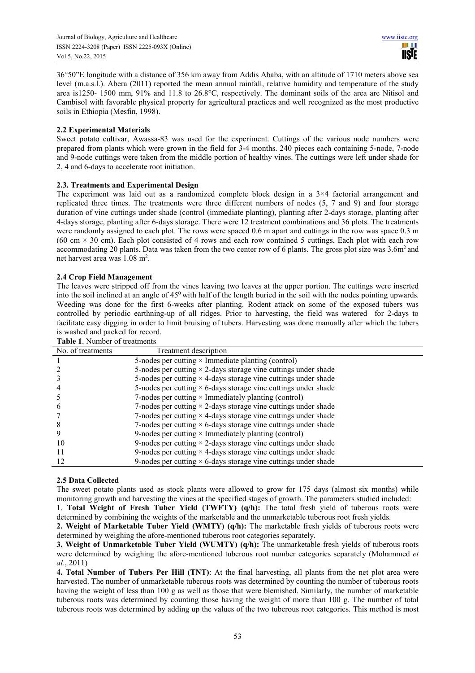36°50"E longitude with a distance of 356 km away from Addis Ababa, with an altitude of 1710 meters above sea level (m.a.s.l.). Abera (2011) reported the mean annual rainfall, relative humidity and temperature of the study area is1250- 1500 mm, 91% and 11.8 to 26.8°C, respectively. The dominant soils of the area are Nitisol and Cambisol with favorable physical property for agricultural practices and well recognized as the most productive soils in Ethiopia (Mesfin, 1998).

# **2.2 Experimental Materials**

Sweet potato cultivar, Awassa-83 was used for the experiment. Cuttings of the various node numbers were prepared from plants which were grown in the field for 3-4 months. 240 pieces each containing 5-node, 7-node and 9-node cuttings were taken from the middle portion of healthy vines. The cuttings were left under shade for 2, 4 and 6-days to accelerate root initiation.

# **2.3. Treatments and Experimental Design**

The experiment was laid out as a randomized complete block design in a 3×4 factorial arrangement and replicated three times. The treatments were three different numbers of nodes (5, 7 and 9) and four storage duration of vine cuttings under shade (control (immediate planting), planting after 2-days storage, planting after 4-days storage, planting after 6-days storage. There were 12 treatment combinations and 36 plots. The treatments were randomly assigned to each plot. The rows were spaced 0.6 m apart and cuttings in the row was space 0.3 m  $(60 \text{ cm} \times 30 \text{ cm})$ . Each plot consisted of 4 rows and each row contained 5 cuttings. Each plot with each row accommodating 20 plants. Data was taken from the two center row of 6 plants. The gross plot size was 3.6m<sup>2</sup> and net harvest area was 1.08 m<sup>2</sup>.

# **2.4 Crop Field Management**

The leaves were stripped off from the vines leaving two leaves at the upper portion. The cuttings were inserted into the soil inclined at an angle of  $45^{\circ}$  with half of the length buried in the soil with the nodes pointing upwards. Weeding was done for the first 6-weeks after planting. Rodent attack on some of the exposed tubers was controlled by periodic earthning-up of all ridges. Prior to harvesting, the field was watered for 2-days to facilitate easy digging in order to limit bruising of tubers. Harvesting was done manually after which the tubers is washed and packed for record.

| No. of treatments | Treatment description                                                 |
|-------------------|-----------------------------------------------------------------------|
|                   | 5-nodes per cutting $\times$ Immediate planting (control)             |
|                   | 5-nodes per cutting $\times$ 2-days storage vine cuttings under shade |
|                   | 5-nodes per cutting $\times$ 4-days storage vine cuttings under shade |
|                   | 5-nodes per cutting $\times$ 6-days storage vine cuttings under shade |
|                   | 7-nodes per cutting $\times$ Immediately planting (control)           |
|                   | 7-nodes per cutting $\times$ 2-days storage vine cuttings under shade |
|                   | 7-nodes per cutting $\times$ 4-days storage vine cuttings under shade |
|                   | 7-nodes per cutting $\times$ 6-days storage vine cuttings under shade |
|                   | 9-nodes per cutting $\times$ Immediately planting (control)           |
| 10                | 9-nodes per cutting $\times$ 2-days storage vine cuttings under shade |
|                   | 9-nodes per cutting $\times$ 4-days storage vine cuttings under shade |
| 12                | 9-nodes per cutting $\times$ 6-days storage vine cuttings under shade |

# **Table 1**. Number of treatments

# **2.5 Data Collected**

The sweet potato plants used as stock plants were allowed to grow for 175 days (almost six months) while monitoring growth and harvesting the vines at the specified stages of growth. The parameters studied included:

1. **Total Weight of Fresh Tuber Yield (TWFTY) (q/h):** The total fresh yield of tuberous roots were determined by combining the weights of the marketable and the unmarketable tuberous root fresh yields.

**2. Weight of Marketable Tuber Yield (WMTY) (q/h):** The marketable fresh yields of tuberous roots were determined by weighing the afore-mentioned tuberous root categories separately.

**3. Weight of Unmarketable Tuber Yield (WUMTY) (q/h):** The unmarketable fresh yields of tuberous roots were determined by weighing the afore-mentioned tuberous root number categories separately (Mohammed *et al*., 2011)

**4. Total Number of Tubers Per Hill (TNT)**: At the final harvesting, all plants from the net plot area were harvested. The number of unmarketable tuberous roots was determined by counting the number of tuberous roots having the weight of less than 100 g as well as those that were blemished. Similarly, the number of marketable tuberous roots was determined by counting those having the weight of more than 100 g. The number of total tuberous roots was determined by adding up the values of the two tuberous root categories. This method is most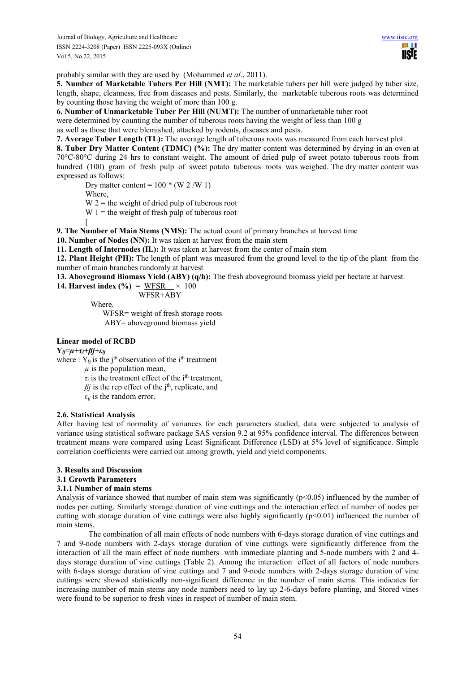ш **IISTE** 

probably similar with they are used by (Mohammed *et al*., 2011).

**5. Number of Marketable Tubers Per Hill (NMT):** The marketable tubers per hill were judged by tuber size, length, shape, cleanness, free from diseases and pests. Similarly, the marketable tuberous roots was determined by counting those having the weight of more than 100 g.

**6. Number of Unmarketable Tuber Per Hill (NUMT):** The number of unmarketable tuber root

were determined by counting the number of tuberous roots having the weight of less than 100 g

as well as those that were blemished, attacked by rodents, diseases and pests.

**7. Average Tuber Length (TL):** The average length of tuberous roots was measured from each harvest plot.

**8. Tuber Dry Matter Content (TDMC) (%):** The dry matter content was determined by drying in an oven at 70°C-80°C during 24 hrs to constant weight. The amount of dried pulp of sweet potato tuberous roots from hundred (100) gram of fresh pulp of sweet potato tuberous roots was weighed. The dry matter content was expressed as follows:

Dry matter content =  $100 * (W 2/W 1)$ 

Where,

 $W 2$  = the weight of dried pulp of tuberous root

 $W_1$  = the weight of fresh pulp of tuberous root

[

**9. The Number of Main Stems (NMS):** The actual count of primary branches at harvest time

**10. Number of Nodes (NN):** It was taken at harvest from the main stem

**11. Length of Internodes (IL):** It was taken at harvest from the center of main stem

**12. Plant Height (PH):** The length of plant was measured from the ground level to the tip of the plant from the number of main branches randomly at harvest

**13. Aboveground Biomass Yield (ABY) (q/h):** The fresh aboveground biomass yield per hectare at harvest.

**14. Harvest index (%)** =  $WFSR \times 100$ 

WFSR+ABY

Where,

 WFSR= weight of fresh storage roots ABY= aboveground biomass yield

**Linear model of RCBD** 

**Y***ij=µ+τi+βj+εij* 

where :  $Y_{ii}$  is the j<sup>th</sup> observation of the i<sup>th</sup> treatment

 $\mu$  is the population mean,

 $\tau_i$  is the treatment effect of the i<sup>th</sup> treatment,

 $\beta j$  is the rep effect of the j<sup>th</sup>, replicate, and

 $\varepsilon_{ij}$  is the random error.

# **2.6. Statistical Analysis**

After having test of normality of variances for each parameters studied, data were subjected to analysis of variance using statistical software package SAS version 9.2 at 95% confidence interval. The differences between treatment means were compared using Least Significant Difference (LSD) at 5% level of significance. Simple correlation coefficients were carried out among growth, yield and yield components.

# **3. Results and Discussion**

# **3.1 Growth Parameters**

# **3.1.1 Number of main stems**

Analysis of variance showed that number of main stem was significantly ( $p<0.05$ ) influenced by the number of nodes per cutting. Similarly storage duration of vine cuttings and the interaction effect of number of nodes per cutting with storage duration of vine cuttings were also highly significantly ( $p<0.01$ ) influenced the number of main stems.

The combination of all main effects of node numbers with 6-days storage duration of vine cuttings and 7 and 9-node numbers with 2-days storage duration of vine cuttings were significantly difference from the interaction of all the main effect of node numbers with immediate planting and 5-node numbers with 2 and 4 days storage duration of vine cuttings (Table 2). Among the interaction effect of all factors of node numbers with 6-days storage duration of vine cuttings and 7 and 9-node numbers with 2-days storage duration of vine cuttings were showed statistically non-significant difference in the number of main stems. This indicates for increasing number of main stems any node numbers need to lay up 2-6-days before planting, and Stored vines were found to be superior to fresh vines in respect of number of main stem.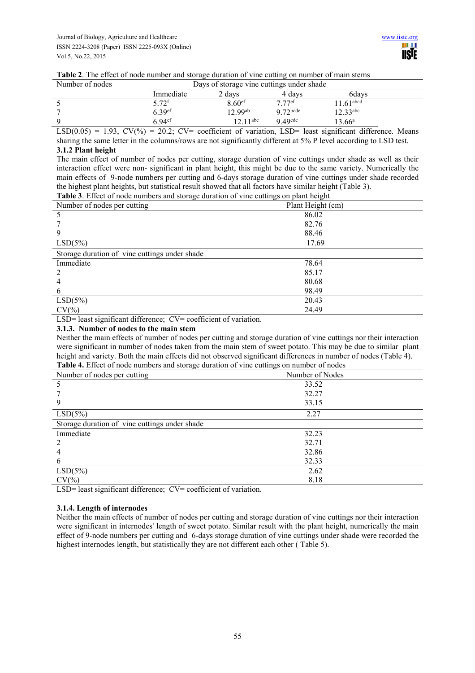|  |  |  | Table 2. The effect of node number and storage duration of vine cutting on number of main stems |
|--|--|--|-------------------------------------------------------------------------------------------------|
|  |  |  |                                                                                                 |

| Number of nodes | Days of storage vine cuttings under shade |                      |                    |                       |  |
|-----------------|-------------------------------------------|----------------------|--------------------|-----------------------|--|
|                 | Immediate                                 | $\angle$ days        | 4 davs             | 6davs                 |  |
|                 | ້. 79f                                    | $8.60$ <sup>ef</sup> | 7.77 <sup>ef</sup> | $161$ <sup>abcd</sup> |  |
|                 | 6.39 <sup>ef</sup>                        | 12 99 <sup>ab</sup>  | $Q$ $72$ bcde      | $12.33^{abc}$         |  |
| Q               | $6.94$ <sup>ef</sup>                      | 12.11 abc            | $9\,49$ cde        | $13.66^{\rm a}$       |  |

LSD( $0.05$ ) = 1.93, CV(%) = 20.2; CV= coefficient of variation, LSD= least significant difference. Means sharing the same letter in the columns/rows are not significantly different at 5% P level according to LSD test.

## **3.1.2 Plant height**

The main effect of number of nodes per cutting, storage duration of vine cuttings under shade as well as their interaction effect were non- significant in plant height, this might be due to the same variety. Numerically the main effects of 9-node numbers per cutting and 6-days storage duration of vine cuttings under shade recorded the highest plant heights, but statistical result showed that all factors have similar height (Table 3).

| <b>Table 3.</b> Effect of node numbers and storage duration of vine cuttings on plant height |                   |  |  |  |
|----------------------------------------------------------------------------------------------|-------------------|--|--|--|
| Number of nodes per cutting                                                                  | Plant Height (cm) |  |  |  |
|                                                                                              | 86.02             |  |  |  |
|                                                                                              | 82.76             |  |  |  |
| 9                                                                                            | 88.46             |  |  |  |
| $LSD(5\%)$                                                                                   | 17.69             |  |  |  |
| Storage duration of vine cuttings under shade                                                |                   |  |  |  |
| Immediate                                                                                    | 78.64             |  |  |  |
|                                                                                              | 85.17             |  |  |  |
|                                                                                              | 80.68             |  |  |  |
| 6                                                                                            | 98.49             |  |  |  |
| $LSD(5\%)$                                                                                   | 20.43             |  |  |  |
| $CV(\% )$                                                                                    | 24.49             |  |  |  |

LSD= least significant difference; CV= coefficient of variation.

# **3.1.3. Number of nodes to the main stem**

Neither the main effects of number of nodes per cutting and storage duration of vine cuttings nor their interaction were significant in number of nodes taken from the main stem of sweet potato. This may be due to similar plant height and variety. Both the main effects did not observed significant differences in number of nodes (Table 4).<br>Table 4, Effect of node numbers and starses duration of vine auttings on number of nodes.

| <b>Table 4.</b> Effect of node numbers and storage duration of vine cuttings on number of nodes |                 |  |  |  |  |
|-------------------------------------------------------------------------------------------------|-----------------|--|--|--|--|
| Number of nodes per cutting                                                                     | Number of Nodes |  |  |  |  |
|                                                                                                 | 33.52           |  |  |  |  |
|                                                                                                 | 32.27           |  |  |  |  |
|                                                                                                 | 33.15           |  |  |  |  |
| LSD(5%)                                                                                         | 2.27            |  |  |  |  |
| Storage duration of vine cuttings under shade                                                   |                 |  |  |  |  |
| Immediate                                                                                       | 32.23           |  |  |  |  |
|                                                                                                 | 32.71           |  |  |  |  |
|                                                                                                 | 32.86           |  |  |  |  |
| b                                                                                               | 32.33           |  |  |  |  |
| LSD(5%)                                                                                         | 2.62            |  |  |  |  |
| $CV(\% )$                                                                                       | 8.18            |  |  |  |  |

LSD= least significant difference; CV= coefficient of variation.

# **3.1.4. Length of internodes**

Neither the main effects of number of nodes per cutting and storage duration of vine cuttings nor their interaction were significant in internodes' length of sweet potato. Similar result with the plant height, numerically the main effect of 9-node numbers per cutting and 6-days storage duration of vine cuttings under shade were recorded the highest internodes length, but statistically they are not different each other ( Table 5).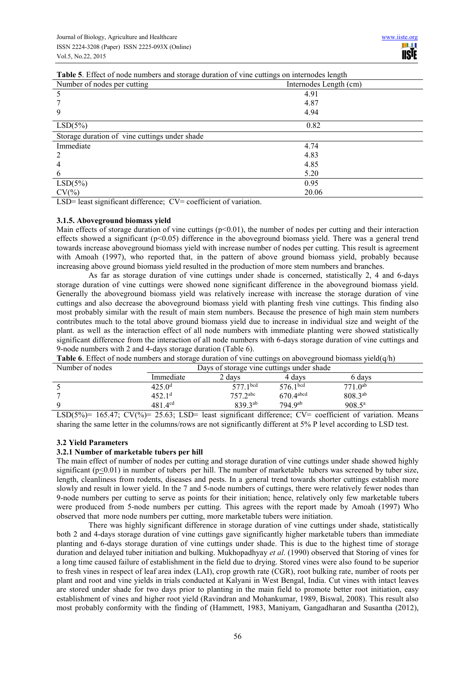| <b>Table 3</b> . Effect of hour numbers and storage duration of vine cuttings on internoues length |                        |  |  |  |
|----------------------------------------------------------------------------------------------------|------------------------|--|--|--|
| Number of nodes per cutting                                                                        | Internodes Length (cm) |  |  |  |
|                                                                                                    | 4.91                   |  |  |  |
|                                                                                                    | 4.87                   |  |  |  |
|                                                                                                    | 4.94                   |  |  |  |
| $LSD(5\%)$                                                                                         | 0.82                   |  |  |  |
| Storage duration of vine cuttings under shade                                                      |                        |  |  |  |
| Immediate                                                                                          | 4.74                   |  |  |  |
|                                                                                                    | 4.83                   |  |  |  |
|                                                                                                    | 4.85                   |  |  |  |
| $\mathbf b$                                                                                        | 5.20                   |  |  |  |
| $LSD(5\%)$                                                                                         | 0.95                   |  |  |  |
| $CV(\% )$                                                                                          | 20.06                  |  |  |  |

**Table 5**. Effect of node numbers and storage duration of vine cuttings on internodes length

LSD= least significant difference; CV= coefficient of variation.

#### **3.1.5. Aboveground biomass yield**

Main effects of storage duration of vine cuttings ( $p<0.01$ ), the number of nodes per cutting and their interaction effects showed a significant ( $p<0.05$ ) difference in the aboveground biomass yield. There was a general trend towards increase aboveground biomass yield with increase number of nodes per cutting. This result is agreement with Amoah (1997), who reported that, in the pattern of above ground biomass yield, probably because increasing above ground biomass yield resulted in the production of more stem numbers and branches.

As far as storage duration of vine cuttings under shade is concerned, statistically 2, 4 and 6-days storage duration of vine cuttings were showed none significant difference in the aboveground biomass yield. Generally the aboveground biomass yield was relatively increase with increase the storage duration of vine cuttings and also decrease the aboveground biomass yield with planting fresh vine cuttings. This finding also most probably similar with the result of main stem numbers. Because the presence of high main stem numbers contributes much to the total above ground biomass yield due to increase in individual size and weight of the plant. as well as the interaction effect of all node numbers with immediate planting were showed statistically significant difference from the interaction of all node numbers with 6-days storage duration of vine cuttings and 9-node numbers with 2 and 4-days storage duration (Table 6).

| Number of nodes |                    | Days of storage vine cuttings under shade |                      |                    |  |  |
|-----------------|--------------------|-------------------------------------------|----------------------|--------------------|--|--|
|                 | Immediate          | 2 days                                    | 4 davs               | 6 days             |  |  |
|                 | 425.0 <sup>d</sup> | 577 $1^{bcd}$                             | 576.1 <sup>bcd</sup> | $7710^{ab}$        |  |  |
|                 | 452.1 <sup>d</sup> | $7572$ <sup>abc</sup>                     | $670.4$ abcd         | 808.3ab            |  |  |
|                 | $481.4^{cd}$       | 839.3 <sup>ab</sup>                       | 794.9ab              | $908.5^{\text{a}}$ |  |  |

**Table 6**. Effect of node numbers and storage duration of vine cuttings on aboveground biomass yield(q/h)

LSD(5%)= 165.47; CV(%)= 25.63; LSD= least significant difference; CV= coefficient of variation. Means sharing the same letter in the columns/rows are not significantly different at 5% P level according to LSD test.

#### **3.2 Yield Parameters**

## **3.2.1 Number of marketable tubers per hill**

The main effect of number of nodes per cutting and storage duration of vine cuttings under shade showed highly significant ( $p \le 0.01$ ) in number of tubers per hill. The number of marketable tubers was screened by tuber size, length, cleanliness from rodents, diseases and pests. In a general trend towards shorter cuttings establish more slowly and result in lower yield. In the 7 and 5-node numbers of cuttings, there were relatively fewer nodes than 9-node numbers per cutting to serve as points for their initiation; hence, relatively only few marketable tubers were produced from 5-node numbers per cutting. This agrees with the report made by Amoah (1997) Who observed that more node numbers per cutting, more marketable tubers were initiation.

There was highly significant difference in storage duration of vine cuttings under shade, statistically both 2 and 4-days storage duration of vine cuttings gave significantly higher marketable tubers than immediate planting and 6-days storage duration of vine cuttings under shade. This is due to the highest time of storage duration and delayed tuber initiation and bulking. Mukhopadhyay *et al*. (1990) observed that Storing of vines for a long time caused failure of establishment in the field due to drying. Stored vines were also found to be superior to fresh vines in respect of leaf area index (LAI), crop growth rate (CGR), root bulking rate, number of roots per plant and root and vine yields in trials conducted at Kalyani in West Bengal, India. Cut vines with intact leaves are stored under shade for two days prior to planting in the main field to promote better root initiation, easy establishment of vines and higher root yield (Ravindran and Mohankumar, 1989, Biswal, 2008). This result also most probably conformity with the finding of (Hammett, 1983, Maniyam, Gangadharan and Susantha (2012),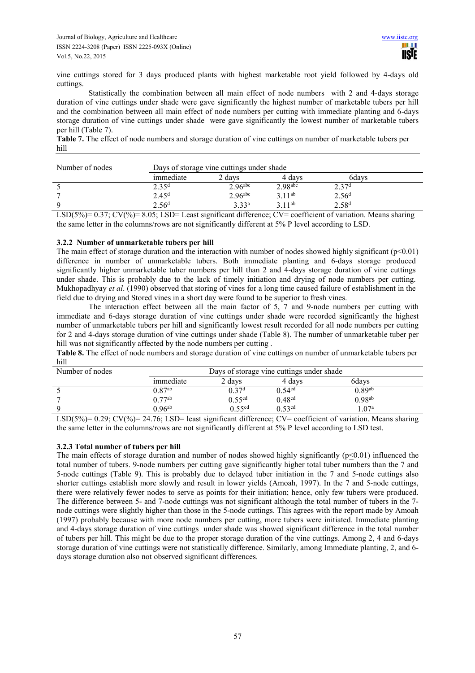vine cuttings stored for 3 days produced plants with highest marketable root yield followed by 4-days old cuttings.

Statistically the combination between all main effect of node numbers with 2 and 4-days storage duration of vine cuttings under shade were gave significantly the highest number of marketable tubers per hill and the combination between all main effect of node numbers per cutting with immediate planting and 6-days storage duration of vine cuttings under shade were gave significantly the lowest number of marketable tubers per hill (Table 7).

**Table 7.** The effect of node numbers and storage duration of vine cuttings on number of marketable tubers per hill

| Number of nodes | Days of storage vine cuttings under shade |                       |                       |                   |  |
|-----------------|-------------------------------------------|-----------------------|-----------------------|-------------------|--|
|                 | immediate                                 | 2 days                | 4 davs                | 6days             |  |
|                 | 2.35 <sup>d</sup>                         | $2.96$ <sup>abc</sup> | $2.98$ <sup>abc</sup> | 2.37 <sup>d</sup> |  |
|                 | 2.45 <sup>d</sup>                         | $2.96$ <sup>abc</sup> | $3.11^{ab}$           | 2.56 <sup>d</sup> |  |
| Q               | 2.56 <sup>d</sup>                         | 3.33 <sup>a</sup>     | 211ab                 | 2.58 <sup>d</sup> |  |

LSD(5%)= 0.37; CV(%)= 8.05; LSD= Least significant difference; CV= coefficient of variation. Means sharing the same letter in the columns/rows are not significantly different at 5% P level according to LSD.

# **3.2.2 Number of unmarketable tubers per hill**

The main effect of storage duration and the interaction with number of nodes showed highly significant ( $p<0.01$ ) difference in number of unmarketable tubers. Both immediate planting and 6-days storage produced significantly higher unmarketable tuber numbers per hill than 2 and 4-days storage duration of vine cuttings under shade. This is probably due to the lack of timely initiation and drying of node numbers per cutting. Mukhopadhyay *et al*. (1990) observed that storing of vines for a long time caused failure of establishment in the field due to drying and Stored vines in a short day were found to be superior to fresh vines.

The interaction effect between all the main factor of 5, 7 and 9-node numbers per cutting with immediate and 6-days storage duration of vine cuttings under shade were recorded significantly the highest number of unmarketable tubers per hill and significantly lowest result recorded for all node numbers per cutting for 2 and 4-days storage duration of vine cuttings under shade (Table 8). The number of unmarketable tuber per hill was not significantly affected by the node numbers per cutting.

**Table 8.** The effect of node numbers and storage duration of vine cuttings on number of unmarketable tubers per hill

| Number of nodes                                                        |                                                                                        | Days of storage vine cuttings under shade |                       |                         |  |
|------------------------------------------------------------------------|----------------------------------------------------------------------------------------|-------------------------------------------|-----------------------|-------------------------|--|
|                                                                        | immediate                                                                              | 2 days                                    | 4 davs                | 6davs                   |  |
|                                                                        | $0.87^{ab}$                                                                            | በ 37 <sup>d</sup>                         | 0.54 <sup>cd</sup>    | $0.89^{ab}$             |  |
|                                                                        | ∩ 77ab                                                                                 | 0.55 <sup>cd</sup>                        | 0.48 <sup>cd</sup>    | $0.98^{ab}$             |  |
| Q                                                                      | $0.96$ <sup>ab</sup>                                                                   | $0.55$ <sup>cd</sup>                      | $0.53$ <sup>cd</sup>  | .07 <sup>a</sup>        |  |
| $\sim$ $\sim$ $\sim$ $\sim$ $\sim$ $\sim$<br>$\tau$ come $\ell = 0.15$ | $\sim$ $\sim$<br>$\bullet$ $\bullet$ $\bullet$ $\bullet$ $\bullet$ $\bullet$ $\bullet$ | $\cdot$ $\sim$<br>$\cdots$                | $\sim$ $\sim$<br>$ -$ | $\sim$ $\sim$<br>$\sim$ |  |

LSD(5%)=  $0.29$ ; CV(%)= 24.76; LSD= least significant difference; CV= coefficient of variation. Means sharing the same letter in the columns/rows are not significantly different at 5% P level according to LSD test.

# **3.2.3 Total number of tubers per hill**

The main effects of storage duration and number of nodes showed highly significantly (p<0.01) influenced the total number of tubers. 9-node numbers per cutting gave significantly higher total tuber numbers than the 7 and 5-node cuttings (Table 9). This is probably due to delayed tuber initiation in the 7 and 5-node cuttings also shorter cuttings establish more slowly and result in lower yields (Amoah, 1997). In the 7 and 5-node cuttings, there were relatively fewer nodes to serve as points for their initiation; hence, only few tubers were produced. The difference between 5- and 7-node cuttings was not significant although the total number of tubers in the 7 node cuttings were slightly higher than those in the 5-node cuttings. This agrees with the report made by Amoah (1997) probably because with more node numbers per cutting, more tubers were initiated. Immediate planting and 4-days storage duration of vine cuttings under shade was showed significant difference in the total number of tubers per hill. This might be due to the proper storage duration of the vine cuttings. Among 2, 4 and 6-days storage duration of vine cuttings were not statistically difference. Similarly, among Immediate planting, 2, and 6 days storage duration also not observed significant differences.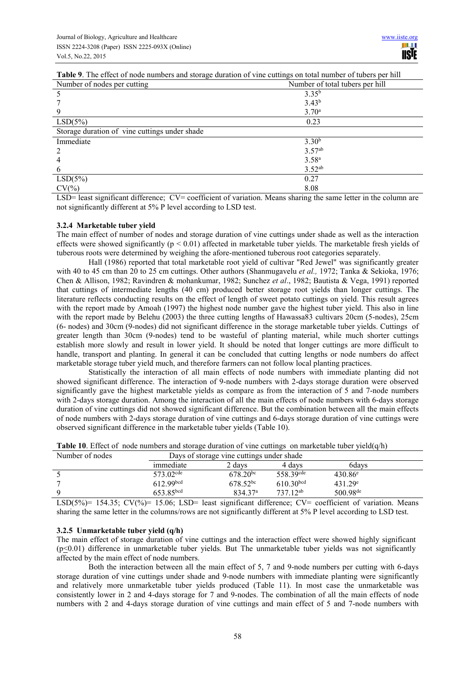| Table 9. The effect of node numbers and storage duration of vine cuttings on total number of tubers per hill |
|--------------------------------------------------------------------------------------------------------------|
|--------------------------------------------------------------------------------------------------------------|

| Number of nodes per cutting                   | Number of total tubers per hill |
|-----------------------------------------------|---------------------------------|
|                                               | $3.35^{b}$                      |
|                                               | $3.43^{b}$                      |
|                                               | 3.70 <sup>a</sup>               |
| LSD(5%)                                       | 0.23                            |
| Storage duration of vine cuttings under shade |                                 |
| Immediate                                     | 3.30 <sup>b</sup>               |
|                                               | 3.57 <sup>ab</sup>              |
|                                               | $3.58^{a}$                      |
| h                                             | 3.52 <sup>ab</sup>              |
| LSD(5%)                                       | 0.27                            |
| $CV(\% )$                                     | 8.08                            |

LSD= least significant difference; CV= coefficient of variation. Means sharing the same letter in the column are not significantly different at 5% P level according to LSD test.

#### **3.2.4 Marketable tuber yield**

The main effect of number of nodes and storage duration of vine cuttings under shade as well as the interaction effects were showed significantly ( $p < 0.01$ ) affected in marketable tuber yields. The marketable fresh yields of tuberous roots were determined by weighing the afore-mentioned tuberous root categories separately.

Hall (1986) reported that total marketable root yield of cultivar "Red Jewel" was significantly greater with 40 to 45 cm than 20 to 25 cm cuttings. Other authors (Shanmugavelu *et al.,* 1972; Tanka & Sekioka, 1976; Chen & Allison, 1982; Ravindren & mohankumar, 1982; Sunchez *et al*., 1982; Bautista & Vega, 1991) reported that cuttings of intermediate lengths (40 cm) produced better storage root yields than longer cuttings. The literature reflects conducting results on the effect of length of sweet potato cuttings on yield. This result agrees with the report made by Amoah (1997) the highest node number gave the highest tuber yield. This also in line with the report made by Belehu (2003) the three cutting lengths of Hawassa83 cultivars 20cm (5-nodes), 25cm (6- nodes) and 30cm (9-nodes) did not significant difference in the storage marketable tuber yields. Cuttings of greater length than 30cm (9-nodes) tend to be wasteful of planting material, while much shorter cuttings establish more slowly and result in lower yield. It should be noted that longer cuttings are more difficult to handle, transport and planting. In general it can be concluded that cutting lengths or node numbers do affect marketable storage tuber yield much, and therefore farmers can not follow local planting practices.

Statistically the interaction of all main effects of node numbers with immediate planting did not showed significant difference. The interaction of 9-node numbers with 2-days storage duration were observed significantly gave the highest marketable yields as compare as from the interaction of 5 and 7-node numbers with 2-days storage duration. Among the interaction of all the main effects of node numbers with 6-days storage duration of vine cuttings did not showed significant difference. But the combination between all the main effects of node numbers with 2-days storage duration of vine cuttings and 6-days storage duration of vine cuttings were observed significant difference in the marketable tuber yields (Table 10).

| Number of nodes | Days of storage vine cuttings under shade |                     |                         |                      |  |
|-----------------|-------------------------------------------|---------------------|-------------------------|----------------------|--|
|                 | immediate                                 | 2 days              | 4 days                  | 6davs                |  |
|                 | $573.02$ <sup>cde</sup>                   | $678.20^{bc}$       | 558.39 <sup>cde</sup>   | $430.86^e$           |  |
|                 | 612.99 <sup>bcd</sup>                     | $678.52^{bc}$       | $610.30$ <sub>bcd</sub> | $431.29^e$           |  |
|                 | 653.85 <sup>bcd</sup>                     | 834.37 <sup>a</sup> | 737 12 <sup>ab</sup>    | $500.98^{\text{de}}$ |  |

**Table 10**. Effect of node numbers and storage duration of vine cuttings on marketable tuber yield(q/h)

LSD(5%)= 154.35; CV(%)= 15.06; LSD= least significant difference; CV= coefficient of variation. Means sharing the same letter in the columns/rows are not significantly different at 5% P level according to LSD test.

#### **3.2.5 Unmarketable tuber yield (q/h)**

The main effect of storage duration of vine cuttings and the interaction effect were showed highly significant  $(p \le 0.01)$  difference in unmarketable tuber yields. But The unmarketable tuber yields was not significantly affected by the main effect of node numbers.

Both the interaction between all the main effect of 5, 7 and 9-node numbers per cutting with 6-days storage duration of vine cuttings under shade and 9-node numbers with immediate planting were significantly and relatively more unmarketable tuber yields produced (Table 11). In most case the unmarketable was consistently lower in 2 and 4-days storage for 7 and 9-nodes. The combination of all the main effects of node numbers with 2 and 4-days storage duration of vine cuttings and main effect of 5 and 7-node numbers with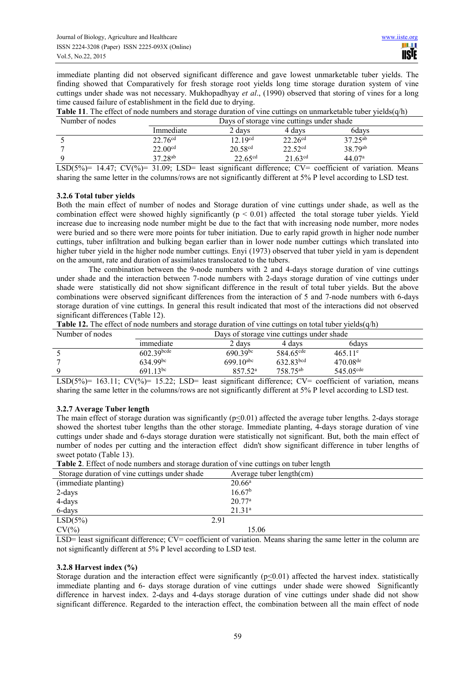immediate planting did not observed significant difference and gave lowest unmarketable tuber yields. The finding showed that Comparatively for fresh storage root yields long time storage duration system of vine cuttings under shade was not necessary. Mukhopadhyay *et al*., (1990) observed that storing of vines for a long time caused failure of establishment in the field due to drying.

|                 | <b>Table 11</b> . The effect of node numbers and storage duration of vine cuttings on unmarketable tuber yields $(q/h)$ |
|-----------------|-------------------------------------------------------------------------------------------------------------------------|
| Number of nodes | Dave of storage vine cuttings under shade                                                                               |

| Number of nodes |                     |                     | Days of storage vine cuttings under shade |                     |  |
|-----------------|---------------------|---------------------|-------------------------------------------|---------------------|--|
|                 | Immediate           | 2 davs              | 4 davs                                    | 6davs               |  |
|                 | $22.76^{cd}$        | 12.19 <sup>cd</sup> | $22.26^{cd}$                              | $37.25^{ab}$        |  |
|                 | 22.00 <sup>cd</sup> | 20.58 <sup>cd</sup> | 22.52 <sup>cd</sup>                       | 38.79 <sup>ab</sup> |  |
|                 | 37.28 <sup>ab</sup> | 22.65 <sup>cd</sup> | $21.63^{cd}$                              | 44.07 <sup>a</sup>  |  |

LSD(5%)= 14.47;  $CV(\%)$ = 31.09; LSD= least significant difference;  $CV=$  coefficient of variation. Means sharing the same letter in the columns/rows are not significantly different at 5% P level according to LSD test.

# **3.2.6 Total tuber yields**

Both the main effect of number of nodes and Storage duration of vine cuttings under shade, as well as the combination effect were showed highly significantly  $(p < 0.01)$  affected the total storage tuber yields. Yield increase due to increasing node number might be due to the fact that with increasing node number, more nodes were buried and so there were more points for tuber initiation. Due to early rapid growth in higher node number cuttings, tuber infiltration and bulking began earlier than in lower node number cuttings which translated into higher tuber yield in the higher node number cuttings. Enyi (1973) observed that tuber yield in yam is dependent on the amount, rate and duration of assimilates translocated to the tubers.

The combination between the 9-node numbers with 2 and 4-days storage duration of vine cuttings under shade and the interaction between 7-node numbers with 2-days storage duration of vine cuttings under shade were statistically did not show significant difference in the result of total tuber yields. But the above combinations were observed significant differences from the interaction of 5 and 7-node numbers with 6-days storage duration of vine cuttings. In general this result indicated that most of the interactions did not observed significant differences (Table 12).

|  | <b>Table 12.</b> The effect of node numbers and storage duration of vine cuttings on total tuber yields $(q/h)$ |  |
|--|-----------------------------------------------------------------------------------------------------------------|--|
|  |                                                                                                                 |  |

| Number of nodes |               | Days of storage vine cuttings under shade |                       |                       |  |
|-----------------|---------------|-------------------------------------------|-----------------------|-----------------------|--|
|                 | immediate     | 2 davs                                    | 4 davs                | 6davs                 |  |
|                 | $602.39$ bcde | $690.39^{bc}$                             | 584.65 <sup>cde</sup> | $465.11^e$            |  |
|                 | $634.99^{bc}$ | $699.10$ <sup>abc</sup>                   | 632.83bcd             | $470.08$ de           |  |
|                 | $691,13^{bc}$ | $85752^a$                                 | 758.75 <sup>ab</sup>  | 545.05 <sup>cde</sup> |  |

LSD(5%)= 163.11; CV(%)= 15.22; LSD= least significant difference; CV= coefficient of variation, means sharing the same letter in the columns/rows are not significantly different at 5% P level according to LSD test.

#### **3.2.7 Average Tuber length**

The main effect of storage duration was significantly ( $p \le 0.01$ ) affected the average tuber lengths. 2-days storage showed the shortest tuber lengths than the other storage. Immediate planting, 4-days storage duration of vine cuttings under shade and 6-days storage duration were statistically not significant. But, both the main effect of number of nodes per cutting and the interaction effect didn't show significant difference in tuber lengths of sweet potato (Table 13).

**Table 2**. Effect of node numbers and storage duration of vine cuttings on tuber length

| Storage duration of vine cuttings under shade | Average tuber length(cm) |
|-----------------------------------------------|--------------------------|
| (immediate planting)                          | $20.66^a$                |
| 2-days                                        | 16.67 <sup>b</sup>       |
| 4-days                                        | $20.77^{\rm a}$          |
| 6-days                                        | 21.31 <sup>a</sup>       |
| $LSD(5\%)$                                    | 2.91                     |
| $CV(\% )$                                     | 15.06                    |

LSD= least significant difference; CV= coefficient of variation. Means sharing the same letter in the column are not significantly different at 5% P level according to LSD test.

#### **3.2.8 Harvest index (%)**

Storage duration and the interaction effect were significantly  $(p \le 0.01)$  affected the harvest index. statistically immediate planting and 6- days storage duration of vine cuttings under shade were showed Significantly difference in harvest index. 2-days and 4-days storage duration of vine cuttings under shade did not show significant difference. Regarded to the interaction effect, the combination between all the main effect of node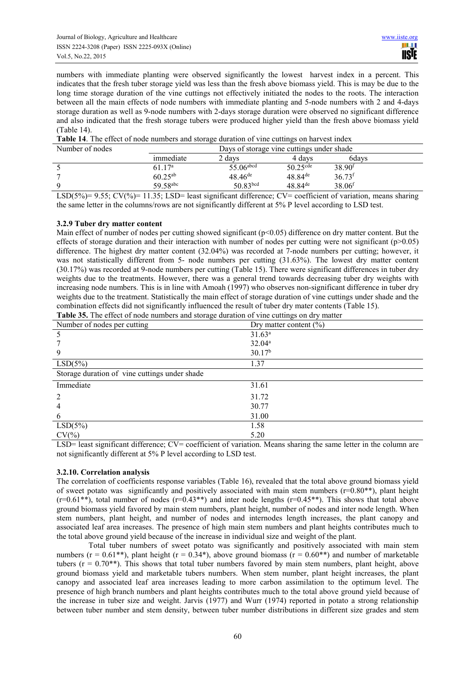numbers with immediate planting were observed significantly the lowest harvest index in a percent. This indicates that the fresh tuber storage yield was less than the fresh above biomass yield. This is may be due to the long time storage duration of the vine cuttings not effectively initiated the nodes to the roots. The interaction between all the main effects of node numbers with immediate planting and 5-node numbers with 2 and 4-days storage duration as well as 9-node numbers with 2-days storage duration were observed no significant difference and also indicated that the fresh storage tubers were produced higher yield than the fresh above biomass yield (Table 14).

**Table 14**. The effect of node numbers and storage duration of vine cuttings on harvest index

| Number of nodes |                    | Days of storage vine cuttings under shade |                        |                      |
|-----------------|--------------------|-------------------------------------------|------------------------|----------------------|
|                 | immediate          | 2 davs                                    | 4 davs                 | 6davs                |
|                 | 61.17 <sup>a</sup> | 55.06abcd                                 | $50.25$ <sup>cde</sup> | 38.90 <sup>f</sup>   |
|                 | $60.25^{ab}$       | $48.46^{\text{de}}$                       | $48.84$ <sup>de</sup>  | $36.73$ <sup>f</sup> |
|                 | 59 58abc           | 50.83 <sup>bcd</sup>                      | $48.84$ <sup>de</sup>  | $38.06$ <sup>f</sup> |

LSD(5%)= 9.55; CV(%)= 11.35; LSD= least significant difference; CV= coefficient of variation, means sharing the same letter in the columns/rows are not significantly different at 5% P level according to LSD test.

# **3.2.9 Tuber dry matter content**

Main effect of number of nodes per cutting showed significant  $(p<0.05)$  difference on dry matter content. But the effects of storage duration and their interaction with number of nodes per cutting were not significant ( $p>0.05$ ) difference. The highest dry matter content (32.04%) was recorded at 7-node numbers per cutting; however, it was not statistically different from 5- node numbers per cutting (31.63%). The lowest dry matter content (30.17%) was recorded at 9-node numbers per cutting (Table 15). There were significant differences in tuber dry weights due to the treatments. However, there was a general trend towards decreasing tuber dry weights with increasing node numbers. This is in line with Amoah (1997) who observes non-significant difference in tuber dry weights due to the treatment. Statistically the main effect of storage duration of vine cuttings under shade and the combination effects did not significantly influenced the result of tuber dry mater contents (Table 15).

| Table 35. The effect of node numbers and storage duration of vine cuttings on dry matter |  |  |
|------------------------------------------------------------------------------------------|--|--|
|                                                                                          |  |  |

| Number of nodes per cutting                   | Dry matter content $(\% )$ |
|-----------------------------------------------|----------------------------|
|                                               | $31.63^a$                  |
|                                               | $32.04^a$                  |
|                                               | 30.17 <sup>b</sup>         |
| LSD(5%)                                       | 1.37                       |
| Storage duration of vine cuttings under shade |                            |
| Immediate                                     | 31.61                      |
|                                               | 31.72                      |
|                                               | 30.77                      |
| 6                                             | 31.00                      |
| $LSD(5\%)$                                    | 1.58                       |
| $CV(\% )$                                     | 5.20                       |

LSD= least significant difference; CV= coefficient of variation. Means sharing the same letter in the column are not significantly different at 5% P level according to LSD test.

# **3.2.10. Correlation analysis**

The correlation of coefficients response variables (Table 16), revealed that the total above ground biomass yield of sweet potato was significantly and positively associated with main stem numbers ( $r=0.80**$ ), plant height  $(r=0.61**)$ , total number of nodes  $(r=0.43**)$  and inter node lengths  $(r=0.45**)$ . This shows that total above ground biomass yield favored by main stem numbers, plant height, number of nodes and inter node length. When stem numbers, plant height, and number of nodes and internodes length increases, the plant canopy and associated leaf area increases. The presence of high main stem numbers and plant heights contributes much to the total above ground yield because of the increase in individual size and weight of the plant.

Total tuber numbers of sweet potato was significantly and positively associated with main stem numbers ( $r = 0.61$ <sup>\*\*</sup>), plant height ( $r = 0.34$ <sup>\*</sup>), above ground biomass ( $r = 0.60$ <sup>\*\*</sup>) and number of marketable tubers ( $r = 0.70$ <sup>\*\*</sup>). This shows that total tuber numbers favored by main stem numbers, plant height, above ground biomass yield and marketable tubers numbers. When stem number, plant height increases, the plant canopy and associated leaf area increases leading to more carbon assimilation to the optimum level. The presence of high branch numbers and plant heights contributes much to the total above ground yield because of the increase in tuber size and weight. Jarvis (1977) and Wurr (1974) reported in potato a strong relationship between tuber number and stem density, between tuber number distributions in different size grades and stem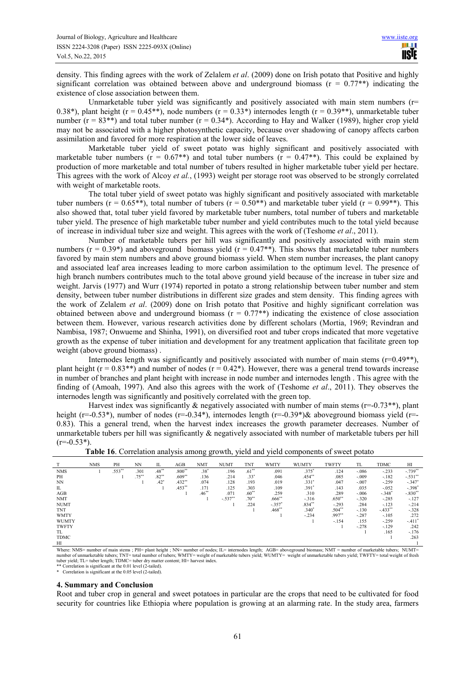density. This finding agrees with the work of Zelalem *et al*. (2009) done on Irish potato that Positive and highly significant correlation was obtained between above and underground biomass ( $r = 0.77$ <sup>\*\*</sup>) indicating the existence of close association between them.

Unmarketable tuber yield was significantly and positively associated with main stem numbers  $(r=$ 0.38\*), plant height ( $r = 0.45**$ ), node numbers ( $r = 0.33*$ ) internodes length ( $r = 0.39**$ ), unmarketable tuber number  $(r = 83^{**})$  and total tuber number  $(r = 0.34^*)$ . According to Hay and Walker (1989), higher crop yield may not be associated with a higher photosynthetic capacity, because over shadowing of canopy affects carbon assimilation and favored for more respiration at the lower side of leaves.

Marketable tuber yield of sweet potato was highly significant and positively associated with marketable tuber numbers ( $r = 0.67**$ ) and total tuber numbers ( $r = 0.47**$ ). This could be explained by production of more marketable and total number of tubers resulted in higher marketable tuber yield per hectare. This agrees with the work of Alcoy *et al.*, (1993) weight per storage root was observed to be strongly correlated with weight of marketable roots.

The total tuber yield of sweet potato was highly significant and positively associated with marketable tuber numbers ( $r = 0.65$ <sup>\*\*</sup>), total number of tubers ( $r = 0.50$ <sup>\*\*</sup>) and marketable tuber yield ( $r = 0.99$ <sup>\*\*</sup>). This also showed that, total tuber yield favored by marketable tuber numbers, total number of tubers and marketable tuber yield. The presence of high marketable tuber number and yield contributes much to the total yield because of increase in individual tuber size and weight. This agrees with the work of (Teshome *et al*., 2011).

Number of marketable tubers per hill was significantly and positively associated with main stem numbers ( $r = 0.39$ <sup>\*</sup>) and aboveground biomass yield ( $r = 0.47$ <sup>\*\*</sup>). This shows that marketable tuber numbers favored by main stem numbers and above ground biomass yield. When stem number increases, the plant canopy and associated leaf area increases leading to more carbon assimilation to the optimum level. The presence of high branch numbers contributes much to the total above ground yield because of the increase in tuber size and weight. Jarvis (1977) and Wurr (1974) reported in potato a strong relationship between tuber number and stem density, between tuber number distributions in different size grades and stem density. This finding agrees with the work of Zelalem *et al*. (2009) done on Irish potato that Positive and highly significant correlation was obtained between above and underground biomass  $(r = 0.77^{**})$  indicating the existence of close association between them. However, various research activities done by different scholars (Mortia, 1969; Revindran and Nambisa, 1987; Onwueme and Shinha, 1991), on diversified root and tuber crops indicated that more vegetative growth as the expense of tuber initiation and development for any treatment application that facilitate green top weight (above ground biomass) .

Internodes length was significantly and positively associated with number of main stems  $(r=0.49**)$ , plant height ( $r = 0.83$ <sup>\*\*</sup>) and number of nodes ( $r = 0.42$ <sup>\*</sup>). However, there was a general trend towards increase in number of branches and plant height with increase in node number and internodes length . This agree with the finding of (Amoah, 1997). And also this agrees with the work of (Teshome *et al*., 2011). They observes the internodes length was significantly and positively correlated with the green top.

Harvest index was significantly  $\&$  negatively associated with number of main stems ( $r=-0.73**$ ), plant height ( $r=-0.53$ \*), number of nodes ( $r=-0.34$ \*), internodes length ( $r=-0.39$ \*)& aboveground biomass yield ( $r=-0.53$ \*) 0.83). This a general trend, when the harvest index increases the growth parameter decreases. Number of unmarketable tubers per hill was significantly & negatively associated with number of marketable tubers per hill  $(r=-0.53*)$ .

|              | <b>NMS</b> | PH       | <b>NN</b> | IL       | AGB       | <b>NMT</b> | <b>NUMT</b> | <b>TNT</b> | <b>WMTY</b> | <b>WUMTY</b> | <b>TWFTY</b> | TL      | <b>TDMC</b> | HI         |
|--------------|------------|----------|-----------|----------|-----------|------------|-------------|------------|-------------|--------------|--------------|---------|-------------|------------|
| <b>NMS</b>   |            | $.553**$ | .301      | $.48***$ | $.800**$  | $.38*$     | .196        | $.61***$   | .091        | $.375*$      | .124         | $-.086$ | $-.233$     | $-.739**$  |
| PH           |            |          | $.75***$  | $.82**$  | $.609**$  | .136       | .214        | $.33*$     | .046        | $.454**$     | .085         | $-.009$ | $-182$      | $-.531$ ** |
| <b>NN</b>    |            |          |           | .42"     | $.432**$  | .074       | .128        | .193       | .019        | $.331*$      | .047         | $-.007$ | $-259$      | $-.347"$   |
| IL           |            |          |           |          | $.453***$ | .171       | .125        | .303       | .109        | $.391*$      | .143         | .035    | $-.052$     | $-.398*$   |
| AGB          |            |          |           |          |           | $.46***$   | .071        | $.60**$    | .259        | .310         | .289         | $-.006$ | $-.348*$    | $-.830**$  |
| <b>NMT</b>   |            |          |           |          |           |            | $-.537***$  | $.70^{**}$ | $.666^{**}$ | $-.316$      | $.650**$     | $-.320$ | $-.285$     | $-.127$    |
| <b>NUMT</b>  |            |          |           |          |           |            |             | .224       | $-.357*$    | $.834***$    | $-.293$      | .284    | $-.123$     | $-.214$    |
| <b>TNT</b>   |            |          |           |          |           |            |             |            | $.468**$    | $.340*$      | $.504**$     | $-.130$ | $-.433"$    | $-.328$    |
| <b>WMTY</b>  |            |          |           |          |           |            |             |            |             | $-.234$      | .997**       | $-.287$ | $-.105$     | .272       |
| <b>WUMTY</b> |            |          |           |          |           |            |             |            |             |              | $-.154$      | .155    | $-.259$     | $-.411"$   |
| <b>TWFTY</b> |            |          |           |          |           |            |             |            |             |              |              | $-.278$ | $-129$      | .242       |
| TL.          |            |          |           |          |           |            |             |            |             |              |              |         | .165        | $-.176$    |
| <b>TDMC</b>  |            |          |           |          |           |            |             |            |             |              |              |         |             | .263       |
| HI           |            |          |           |          |           |            |             |            |             |              |              |         |             |            |

| Table 16. Correlation analysis among growth, yield and yield components of sweet potato |
|-----------------------------------------------------------------------------------------|
|-----------------------------------------------------------------------------------------|

Where: NMS= number of main stems ; PH= plant height ; NN= number of nodes; IL= internodes length; AGB= aboveground biomass; NMT = number of marketable tubers; NUMT=<br>number of unmarketable tubers; TNT= total number of tuber tuber yield; TL= tuber length; TDMC= tuber dry matter content; HI= harvest index.

\*\* Correlation is significant at the 0.01 level (2-tailed). \* Correlation is significant at the 0.05 level (2-tailed).

#### **4. Summary and Conclusion**

Root and tuber crop in general and sweet potatoes in particular are the crops that need to be cultivated for food security for countries like Ethiopia where population is growing at an alarming rate. In the study area, farmers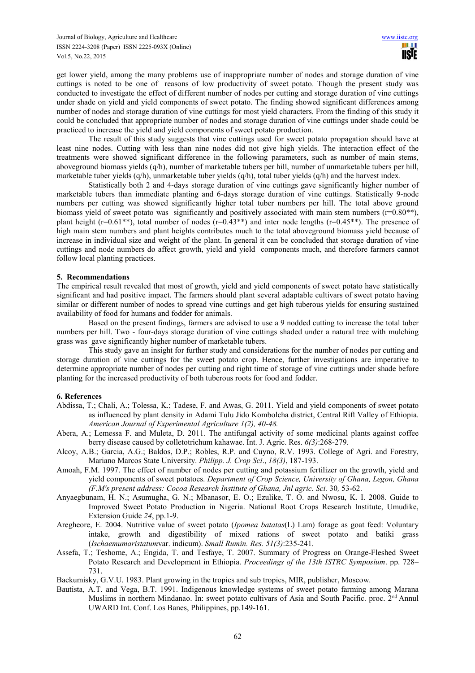get lower yield, among the many problems use of inappropriate number of nodes and storage duration of vine cuttings is noted to be one of reasons of low productivity of sweet potato. Though the present study was conducted to investigate the effect of different number of nodes per cutting and storage duration of vine cuttings under shade on yield and yield components of sweet potato. The finding showed significant differences among number of nodes and storage duration of vine cuttings for most yield characters. From the finding of this study it could be concluded that appropriate number of nodes and storage duration of vine cuttings under shade could be practiced to increase the yield and yield components of sweet potato production.

The result of this study suggests that vine cuttings used for sweet potato propagation should have at least nine nodes. Cutting with less than nine nodes did not give high yields. The interaction effect of the treatments were showed significant difference in the following parameters, such as number of main stems, aboveground biomass yields (q/h), number of marketable tubers per hill, number of unmarketable tubers per hill, marketable tuber yields (q/h), unmarketable tuber yields (q/h), total tuber yields (q/h) and the harvest index*.* 

Statistically both 2 and 4-days storage duration of vine cuttings gave significantly higher number of marketable tubers than immediate planting and 6-days storage duration of vine cuttings. Statistically 9-node numbers per cutting was showed significantly higher total tuber numbers per hill. The total above ground biomass yield of sweet potato was significantly and positively associated with main stem numbers (r=0.80\*\*), plant height ( $r=0.61**$ ), total number of nodes ( $r=0.43**$ ) and inter node lengths ( $r=0.45**$ ). The presence of high main stem numbers and plant heights contributes much to the total aboveground biomass yield because of increase in individual size and weight of the plant. In general it can be concluded that storage duration of vine cuttings and node numbers do affect growth, yield and yield components much, and therefore farmers cannot follow local planting practices.

#### **5. Recommendations**

The empirical result revealed that most of growth, yield and yield components of sweet potato have statistically significant and had positive impact. The farmers should plant several adaptable cultivars of sweet potato having similar or different number of nodes to spread vine cuttings and get high tuberous yields for ensuring sustained availability of food for humans and fodder for animals.

Based on the present findings, farmers are advised to use a 9 nodded cutting to increase the total tuber numbers per hill. Two - four-days storage duration of vine cuttings shaded under a natural tree with mulching grass was gave significantly higher number of marketable tubers.

This study gave an insight for further study and considerations for the number of nodes per cutting and storage duration of vine cuttings for the sweet potato crop. Hence, further investigations are imperative to determine appropriate number of nodes per cutting and right time of storage of vine cuttings under shade before planting for the increased productivity of both tuberous roots for food and fodder.

#### **6. References**

- Abdissa, T.; Chali, A.; Tolessa, K.; Tadese, F. and Awas, G. 2011. Yield and yield components of sweet potato as influenced by plant density in Adami Tulu Jido Kombolcha district, Central Rift Valley of Ethiopia. *American Journal of Experimental Agriculture 1(2), 40-48.*
- Abera, A.; Lemessa F. and Muleta, D. 2011. The antifungal activity of some medicinal plants against coffee berry disease caused by colletotrichum kahawae. Int. J. Agric. Res. *6(3)*:268-279.
- Alcoy, A.B.; Garcia, A.G.; Baldos, D.P.; Robles, R.P. and Cuyno, R.V. 1993. College of Agri. and Forestry, Mariano Marcos State University. *Philipp. J. Crop Sci*., *18(3)*, 187-193.
- Amoah, F.M. 1997. The effect of number of nodes per cutting and potassium fertilizer on the growth, yield and yield components of sweet potatoes. *Department of Crop Science, University of Ghana, Legon, Ghana (F.M's present address: Cocoa Research Institute of Ghana, Jnl agric. Sci.* 30*,* 53-62.
- Anyaegbunam, H. N.; Asumugha, G. N.; Mbanasor, E. O.; Ezulike, T. O. and Nwosu, K. I. 2008. Guide to Improved Sweet Potato Production in Nigeria. National Root Crops Research Institute, Umudike, Extension Guide *24*, pp.1-9.
- Aregheore, E. 2004. Nutritive value of sweet potato (*Ipomea batatas*(L) Lam) forage as goat feed: Voluntary intake, growth and digestibility of mixed rations of sweet potato and batiki grass (*Ischaemumaristatum*var. indicum). *Small Rumin. Res. 51(3)*:235-241*.*
- Assefa, T.; Teshome, A.; Engida, T. and Tesfaye, T. 2007. Summary of Progress on Orange-Fleshed Sweet Potato Research and Development in Ethiopia. *Proceedings of the 13th ISTRC Symposium*. pp. 728– 731.

Backumisky, G.V.U. 1983. Plant growing in the tropics and sub tropics, MIR, publisher, Moscow.

Bautista, A.T. and Vega, B.T. 1991. Indigenous knowledge systems of sweet potato farming among Marana Muslims in northern Mindanao. In: sweet potato cultivars of Asia and South Pacific. proc. 2<sup>nd</sup> Annul UWARD Int. Conf. Los Banes, Philippines, pp.149-161.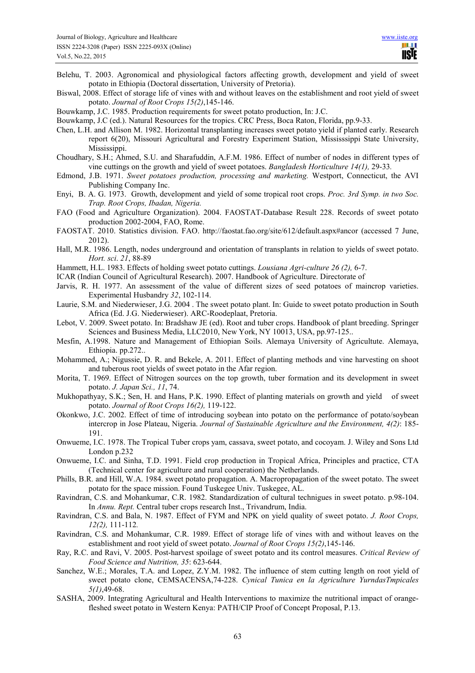- Belehu, T. 2003. Agronomical and physiological factors affecting growth, development and yield of sweet potato in Ethiopia (Doctoral dissertation, University of Pretoria).
- Biswal, 2008. Effect of storage life of vines with and without leaves on the establishment and root yield of sweet potato. *Journal of Root Crops 15(2)*,145-146.
- Bouwkamp, J.C. 1985. Production requirements for sweet potato production, In: J.C.
- Bouwkamp, J.C (ed.). Natural Resources for the tropics. CRC Press, Boca Raton, Florida, pp.9-33.
- Chen, L.H. and Allison M. 1982. Horizontal transplanting increases sweet potato yield if planted early. Research report 6(20), Missouri Agricultural and Forestry Experiment Station, Mississsippi State University, Mississippi.
- Choudhary, S.H.; Ahmed, S.U. and Sharafuddin, A.F.M. 1986. Effect of number of nodes in different types of vine cuttings on the growth and yield of sweet potatoes. *Bangladesh Horticulture 14(1),* 29-33*.*
- Edmond, J.B. 1971. *Sweet potatoes production, processing and marketing.* Westport, Connecticut, the AVI Publishing Company Inc.
- Enyi, B. A. G. 1973. Growth, development and yield of some tropical root crops. *Proc. 3rd Symp. in two Soc. Trap. Root Crops, Ibadan, Nigeria.*
- FAO (Food and Agriculture Organization). 2004. FAOSTAT-Database Result 228. Records of sweet potato production 2002-2004, FAO, Rome.
- FAOSTAT. 2010. Statistics division. FAO. http://faostat.fao.org/site/612/default.aspx#ancor (accessed 7 June, 2012).
- Hall, M.R. 1986. Length, nodes underground and orientation of transplants in relation to yields of sweet potato. *Hort. sci*. *21*, 88-89
- Hammett, H.L. 1983. Effects of holding sweet potato cuttings. *Lousiana Agri-culture 26 (2),* 6-7.
- ICAR (Indian Council of Agricultural Research). 2007. Handbook of Agriculture. Directorate of
- Jarvis, R. H. 1977. An assessment of the value of different sizes of seed potatoes of maincrop varieties. Experimental Husbandry *32*, 102-114.
- Laurie, S.M. and Niederwieser, J.G. 2004 . The sweet potato plant. In: Guide to sweet potato production in South Africa (Ed. J.G. Niederwieser). ARC-Roodeplaat, Pretoria.
- Lebot, V. 2009. Sweet potato. In: Bradshaw JE (ed). Root and tuber crops. Handbook of plant breeding. Springer Sciences and Business Media, LLC2010, New York, NY 10013, USA, pp.97-125..
- Mesfin, A.1998. Nature and Management of Ethiopian Soils. Alemaya University of Agricultute. Alemaya, Ethiopia. pp.272..
- Mohammed, A.; Nigussie, D. R. and Bekele, A. 2011. Effect of planting methods and vine harvesting on shoot and tuberous root yields of sweet potato in the Afar region.
- Morita, T. 1969. Effect of Nitrogen sources on the top growth, tuber formation and its development in sweet potato. *J. Japan Sci., 11*, 74.
- Mukhopathyay, S.K.; Sen, H. and Hans, P.K. 1990. Effect of planting materials on growth and yield of sweet potato. *Journal of Root Crops 16(2),* 119-122.
- Okonkwo, J.C. 2002. Effect of time of introducing soybean into potato on the performance of potato/soybean intercrop in Jose Plateau, Nigeria. *Journal of Sustainable Agriculture and the Environment, 4(2)*: 185- 191.
- Onwueme, I.C. 1978. The Tropical Tuber crops yam, cassava, sweet potato, and cocoyam. J. Wiley and Sons Ltd London p.232
- Onwueme, I.C. and Sinha, T.D. 1991. Field crop production in Tropical Africa, Principles and practice, CTA (Technical center for agriculture and rural cooperation) the Netherlands.
- Phills, B.R. and Hill, W.A. 1984. sweet potato propagation. A. Macropropagation of the sweet potato. The sweet potato for the space mission. Found Tuskegee Univ. Tuskegee, AL.
- Ravindran, C.S. and Mohankumar, C.R. 1982. Standardization of cultural technigues in sweet potato. p.98-104. In *Annu. Rept.* Central tuber crops research Inst., Trivandrum, India.
- Ravindran, C.S. and Bala, N. 1987. Effect of FYM and NPK on yield quality of sweet potato. *J. Root Crops, 12(2),* 111-112*.*
- Ravindran, C.S. and Mohankumar, C.R. 1989. Effect of storage life of vines with and without leaves on the establishment and root yield of sweet potato. *Journal of Root Crops 15(2)*,145-146.
- Ray, R.C. and Ravi, V. 2005. Post-harvest spoilage of sweet potato and its control measures. *Critical Review of Food Science and Nutrition, 35*: 623-644.
- Sanchez, W.E.; Morales, T.A. and Lopez, Z.Y.M. 1982. The influence of stem cutting length on root yield of sweet potato clone, CEMSACENSA,74-228. *Cynical Tunica en la Agriculture YurndasTmpicales 5(1)*,49-68.
- SASHA, 2009. Integrating Agricultural and Health Interventions to maximize the nutritional impact of orangefleshed sweet potato in Western Kenya: PATH/CIP Proof of Concept Proposal, P.13.